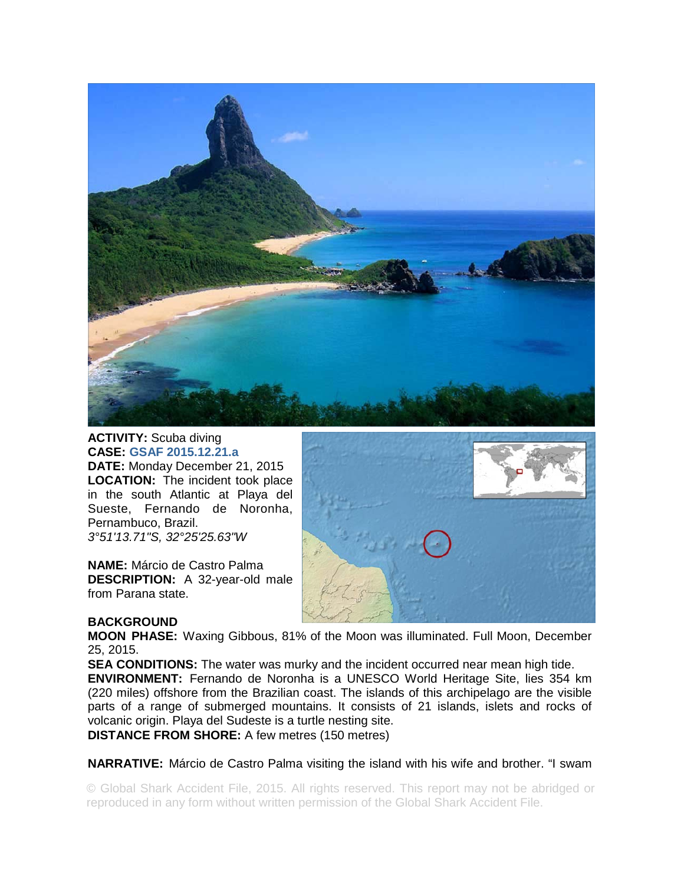

## **ACTIVITY:** Scuba diving **CASE: GSAF 2015.12.21.a**

**DATE:** Monday December 21, 2015 **LOCATION:** The incident took place in the south Atlantic at Playa del Sueste, Fernando de Noronha, Pernambuco, Brazil. *3°51'13.71"S, 32°25'25.63"W* 

**NAME:** Márcio de Castro Palma **DESCRIPTION:** A 32-year-old male from Parana state.



## **BACKGROUND**

**MOON PHASE:** Waxing Gibbous, 81% of the Moon was illuminated. Full Moon, December 25, 2015.

**SEA CONDITIONS:** The water was murky and the incident occurred near mean high tide. **ENVIRONMENT:** Fernando de Noronha is a UNESCO World Heritage Site, lies 354 km (220 miles) offshore from the Brazilian coast. The islands of this archipelago are the visible parts of a range of submerged mountains. It consists of 21 islands, islets and rocks of volcanic origin. Playa del Sudeste is a turtle nesting site. **DISTANCE FROM SHORE:** A few metres (150 metres)

**NARRATIVE:** Márcio de Castro Palma visiting the island with his wife and brother. "I swam

© Global Shark Accident File, 2015. All rights reserved. This report may not be abridged or reproduced in any form without written permission of the Global Shark Accident File.